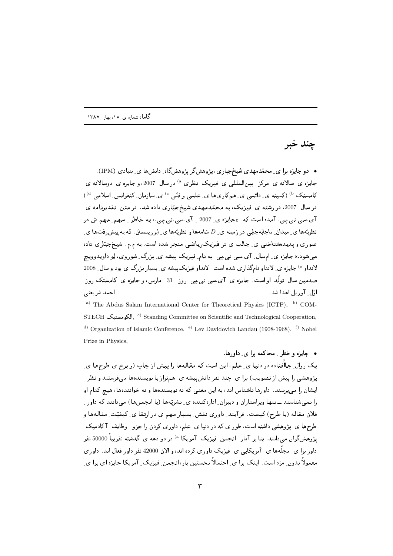## چند خبر

• دو جایزه برا ی ِ محمّدمهدی شیخجباری، پژوهشگر پژوهشگاه ِ دانشها ی ِ بنیادی (IPM). جایزه ی ِ سالانه ی ِ مرکز ِ بینالمللبی ی ِ فیزیک ِ نظری <sup>۵)</sup> در سال ِ 2007، و جایزه ی ِ دوسالانه ی ِ کامستِک <sup>b)</sup> (کمپته ی ِ دائمی ی ِ همکاریها ی ِ علمی و فنّی <sup>c)</sup> ی ِ سازمان ِ کنفرانس ِ اسلامی <sup>d)</sup>) در سال 2007، در رشته ی ِ فیزیک، به محمّدمهدی شیخجبّاری داده شد. در متن ِ تقدیرنامه ی ِ آی سی تبی یبی . آمده است که «جایزه ی ِ 2007 <sub>-</sub> آی سی تبی ببی .، به خاطر <sub>-</sub> سهم ِ مهم ش در نظریّهها ی ِ میدان ِ ناجابهجایی در زمینه ی ِ D شامهها و نظریّهها ی ِ ابر ریسمان ، که به پیش رفتها ی ِ صوری و پدیدهشناختبی ی ِ جالب ی در فیزیک ریاضی منجر شده است، به م.م. شیخ جبّاری داده مبی شود.» جاییزه ی ِ امسال ِ آی سبی تبی بپی. به نام ِ فیزیک پیشه ی ِ بزرگ ِ شوروی، لِو داویدووی<del>ه</del>ِ لانداو <sup>6</sup> جایزه ی ِ لانداو نامگذاری شده است. لانداو فیزیکپیشه ی ِ بسیار بزرگ ی بود و سال 2008 صدمین سال ِ تولَّد ِ او است. جایزه ی ِ آی سی تبی بپی روز ِ 31 ِ مارس، و جایزه ی ِ کامستِک روز ِ احمد شريعتي اوَّل آوريل اهدا شد.

a) The Abdus Salam International Center for Theoretical Physics (ICTP), b) COM-STECH الكومستيك, <sup>c)</sup> Standing Committee on Scientific and Technological Cooperation, <sup>d)</sup> Organization of Islamic Conference, <sup>e)</sup> Lev Davidovich Landau (1908-1968), <sup>f)</sup> Nobel Prize in Physics,

• جایزه و خطر په محاکمه برای راورها. یک روال ِ جااُفتاده در دنیا ی ِ علم، این است که مقالهها را پیش از چاپ (و برخ ی طرحها ی ِ یژوهشی را پیش از تصویب) برا ی ِ چند نفر دانش پیشه ی ِ همتراز با نویسندهها میفرستند و نظر ِ ایشان را می پرسند. داورها ناشناس اند، به این معنی که نه نویسندهها و نه خوانندهها، هیچ کدام او را نمی شناسند ــ تنها ویراستاران و دبیران ِ ادارهکننده ی ِ نشریّهها (یا انجمنها) میدانند که داور ِ فلان مقاله (یا طرح) کیست. فرآیند ِ داوری نقش ِ بسیار مهم ی در ارتقا ی ِ کیفیّت ِ مقالهها و طرحها ی ِ پژوهشی داشته است، طور ی که در دنیا ی ِ علم، داوری کردن را جزو ِ وظایف ِ آکادمیک ِ پژوهش گران می،دانند. بنا بر آمار <sub>بر</sub>انجمن ِ فیزیک ِ آمریکا <sup>۵)</sup> در دو دهه ی ِ گذشته تقریباً 50000 نفر داور برا ی ِ مجلَّهها ی ِ آمریکایی ی ِ فیزیک داوری کرده اند، و الان 42000 نفر داور فعال اند. داوری معمولاً بدون ِ مزد است. اینک برا ی ِ احتمالاً نخستین بار، انجمن ِ فیزیک ِ آمریکا جایزه ای برا ی ِ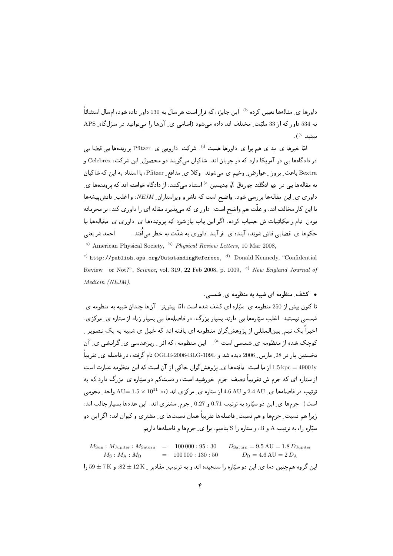داورها ی ِ مقالهها تعیین کرده <sup>b)</sup>. این جایزه، که قرار است هر سال به 130 داور داده شود، امسال استثنائاً به 534 داور که از 33 ملیّت ِ مختلف اند داده میشود (اسامی ی ِ آنها را میتوانید در منزل گاه ِ APS  $\mathcal{N}^{(c)}$ سينىد

امّا خبرها ي ٍ بد ي هم برا ي ِ داورها هست <sup>d</sup>). شركت ِ دارويبي ي ِ Pfitzer يروندهها يبي قضا يبي در دادگاهها یی در آمریکا دارد که در جریان اند. شاکیان می گویند دو محصول ِ این شرکت، Celebrex و Bextra باعث ِ بروز ِ عوارض ِ وخیم ی میشوند. وکلا ی ِ مدافع ِ Pfitzer، با استناد به این که شاکیان به مقالهها یی در نیو انگلند جورنال آو مِدیسین <sup>6</sup> استناد میکنند، از دادگاه خواسته اند که پروندهها ی ِ داوری ی ِ این مقالهها بررسی شود. واضح است که ناشر و ویراستاران ِ NEJM، و اغلب ِ دانش پیشهها با این کار مخالف اند، و علّت هم واضح است: داور ی که می پذیرد مقاله ای را داوری کند، بر محرمانه بودن ِ نام و مکاتبات ش حساب کرده. اگر این باب باز شود که پروندهها ی ِ داوری ی ِ مقالهها با حکمها ی ِ قضایبی فاش شوند، آینده ی ِ فرآیند ِ داوری به شدّت به خطر می اُفتد. احمد شريعتي <sup>a)</sup> American Physical Society, <sup>b)</sup> Physical Review Letters, 10 Mar 2008,

<sup>c)</sup> http://publish.aps.org/0utstandingReferees,  $d$ <sup>)</sup> Donald Kennedy, "Confidential Review-or Not?", Science, vol. 319, 22 Feb 2008, p. 1009, <sup>e)</sup> New England Journal of Medicin (NEJM),

• کشف ِ منظومه ای شبیه به منظومه ی ِ شمسی.

تا کنون بیش از 250 منظومه ی ِ سیّاره ای کشف شده است، امّا بیش تر \_ آنها چندان شبیه به منظومه ی ِ شمسی نیستند. اغلب سیّارهها یی دارند بسیار بزرگ، در فاصلهها یی بسیار زیاد از ستاره ی ِ مرکزی. اخیراً یک تیم ِ بینالمللی از پژوهشگران منظومه ای یافته اند که خیل ی شبیه به یک تصویر ِ کوچک شده از منظومه ی ِ شمسی است <sup>a)</sup>. این منظومه، که اثر ِ ریزعدسی ی ِ گرانشی ی ِ آن نخستین بار در 28 ِ مارس ِ 2006 دیده شد و BLG-109L-2006-BLG-2006 نام گرفته، در فاصله ی ِ تقریباً ِ 1.5 kpc = 4900 ly از ما است. يافتهها ي يژوهش گران حاكي از آن است كه اين منظومه عبارت است از ستاره ای که جرم ش تقریباً نصف ِ جرم ِ خورشید است، و دستِکم دو سیّاره ی ِ بزرگ دارد که به ترتیب در فاصلهها ی ِ 2.4 AU و 4.6 AU از ستاره ی ِ مرکزی اند (MU=  $1.5 \times 10^{11}$  aU واحد ِ نجومی است). جرمها ي اين دو سيّاره به ترتيب 0.71 و 0.27 حرم مشترى اند. اين عددها بسيار جالب اند، زیرا هم نسبت ِ جرمها و هم نسبت ِ فاصلهها تقریباً همان نسبتها ی ِ مشتری و کیوان اند: اگر این دو سپّاره را، به ترتیب A و B، و ستاره را S بنامیم، برا ی ِ جرمها و فاصلهها داریم

 $D_{\text{Saturn}} = 9.5 \text{ AU} = 1.8 D_{\text{Jupiter}}$  $M_{\text{Sun}}: M_{\text{Jupiter}}: M_{\text{Saturn}} = 100\,000:95:30$  $= 100000:130:50$  $D_{\rm B} = 4.6 \,{\rm AU} = 2 D_{\rm A}$  $M_{\rm S}:M_{\rm A}:M_{\rm B}$ این گروه همچنین دما ی ِ این دو سیّاره را سنجیده اند و به ترتیب ِ مقادیر ِ I2K ± 82، و 58 ± 59 را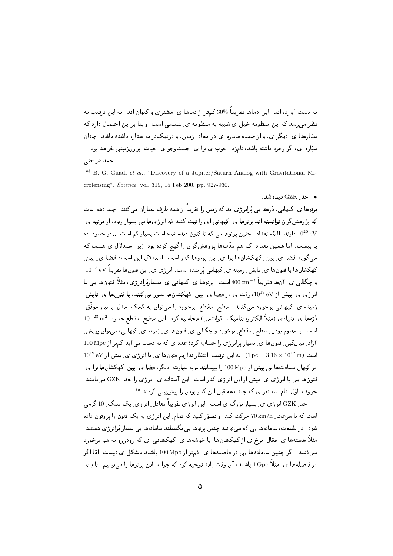به دست آورده اند. این دماها تقریباً %30 کمتر از دماها ی ِ مشتری و کیوان اند. به این ترتیب به نظر می رسد که این منظومه خیل ی شبیه به منظومه ی ِ شمسی است، و بنا بر این احتمال دارد که سپّارهها ی ِ دیگر ی، و از جمله سپّاره ای در ابعاد ِ زمین، و نزدیکتر به ستاره داشته باشد. چنان سیّاره ای، اگر وجود داشته باشد، نامزد \_ خوب ی برا ی\_ جستوجو ی\_ حیات ِ برونزمینبی خواهد بود. احمد شريعتي

<sup>a)</sup> B. G. Guadi et al., "Discovery of a Jupiter/Saturn Analog with Gravitational Microlensing", Science, vol. 319, 15 Feb 200, pp. 927-930.

● حلم GZK ديده شد.

یرتوها ی ِ کیهانی، ذرّهها یی یُرانرژی اند که زمین را تقریباً از همه طرف بمباران می کنند. چند دهه است که پژوهشگران توانسته اند پرتوها ی ِ کیهانی ای را ثبت کنند که انرژیها یی بسیار زیاد، از مرتبه ی ِ دارند. البتّه تعداد ِ چنین پرتوها یی که تا کنون دیده شده است بسیار کم است ـــ در حدود ِ ده  $10^{20}\,\mathrm{eV}$ یا بیست. امّا همین تعداد ِ کم هم مدّتها پژوهشگران را گیج کرده بود، زیرا استدلال ی هست که میگوید فضا ی ِ بین ِ کهکشانها برا ی ِ این پرتوها کدر است. استدلال این است: فضا ی ِ بین ِ کھکشانھا یا فتونھا ی ِ تابش ِ زمینه ی ِ کیھانی پُر شدہ است. انر ژی ی ِ این فتونِها تقریباً eV، 10<sup>-3</sup> eV، و چگالبی ی ِ آنِها تقریباً 3 $\rm cm^{-3}$ 400 است. پرتوها ی ِ کیهانبی ی ِ بِسپاریُرانرژی، مثلاً فتونها یبی با انرژی ی ِ بیش از eV، وقت ی در فضا ی ِ بین ِ کهکشانها عبور میکنند، با فتونها ی ِ تابش ِ زمینه ی ِ کیهانی برخورد میکنند. سطح ِ مقطع ِ برخورد را می توان به کمک ِ مدل ِ بسیار موفّق ِ ذرِّهها ي ِ بنيادي (مثلاً الكتروديناميك ِ كوانتمي) محاسبه كرد . اين سطح ِ مقطع حدود ِ 2<sup>023 10</sub>-10</sup> است. با معلوم بودن ِ سطح ِ مقطع ِ برخورد و چگالی ی ِ فتونِها ی ِ زمینه ی ِ کیهانی، می توان پویش ِ آزاد ِ میان گین ِ فتونها ی ِ بسیار پرانرژی را حساب کرد؛ عدد ی که به دست می آید کمتر از Mpc 100 Mpc  $10^{19}$ eV است ( $10^{12}$  m) و است ( $10^{12}$  m). به این ترتیب، انتظار نداریم فتونها ی ِ با انرژی ی ِ بیش از در کیهان مسافتها یی بیش از 100 Mpc را بییمایند ــ به عبارت ِ دیگر، فضا ی ِ بین ِ کهکشانها برا ی ِ فتونها يي با انرژي ي\_ بيش از اين انرژي كدر است. اين آستانه ي\_ انرژي را حد\_ GZK مينامند؛ حروف ِ اوّل ِ نام ِ سه نفر ي كه چند دهه قبل اين كدر بودن را پيش بيني كردند <sup>a)</sup>.

حد ِ GZK انرژی ی ِ بسیار بزرگ ی است. این انرژی تقریباً معادل ِ انرژی ِ یک سنگ ِ 10 گرمی است که با سرعت ِ 70km/h حرکت کند، و تصوّر کنید که تمام ِ این انرژی به یک فتون یا پروتون داده شود. در طبیعت، سامانهها یی که میتوانند چنین پرتوها یی بگسیلند سامانهها یی بسیار پُرانرژی هستند، مثلاً هستهها ی ِ فعّال ِ برخ ی از کهکشانها، یا خوشهها ی ِ کهکشانی ای که رودررو به هم برخورد میکنند. اگر چنین سامانهها یی در فاصلهها ی ِ کمتر از Mpc با100 باشند مشکل ی نیست، امّا اگر در فاصلهها ي ِ مثلاً £1 Gpc باشند، آن وقت بايد توجيه كرد كه چرا ما اين پرتوها را مىبينيم: يا بايد